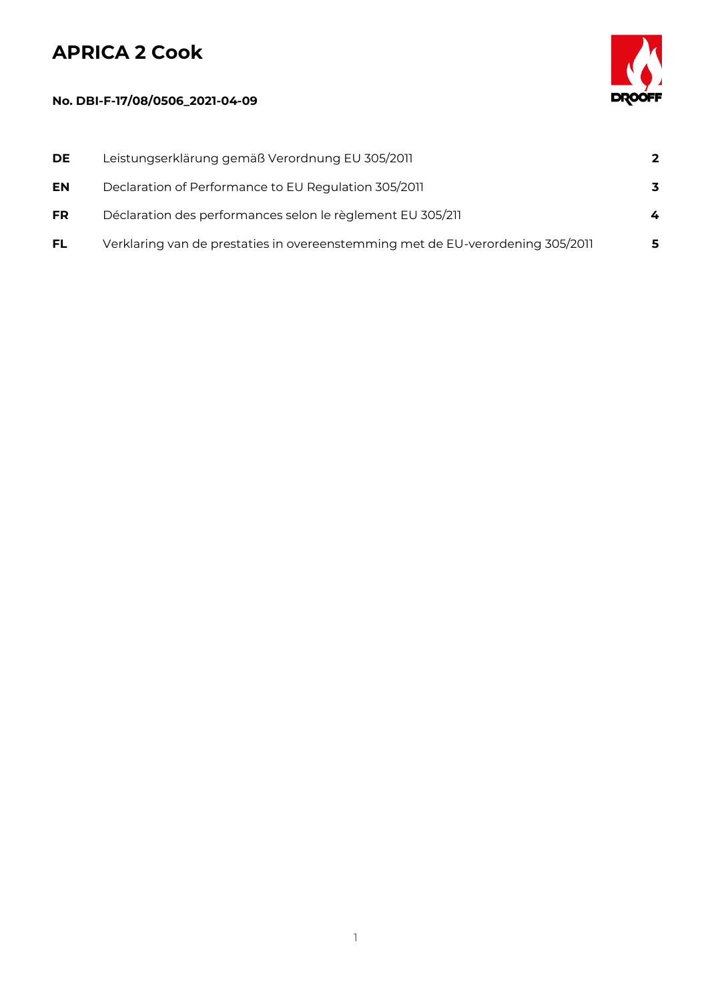## **APRICA 2 Cook**

## **No. DBI-F-17/08/0506\_2021-04-09**



| DE.       | Leistungserklärung gemäß Verordnung EU 305/2011                                | $\overline{2}$ |
|-----------|--------------------------------------------------------------------------------|----------------|
| <b>EN</b> | Declaration of Performance to EU Regulation 305/2011                           | 3              |
| <b>FR</b> | Déclaration des performances selon le règlement EU 305/211                     | 4              |
| <b>FL</b> | Verklaring van de prestaties in overeenstemming met de EU-verordening 305/2011 | 5              |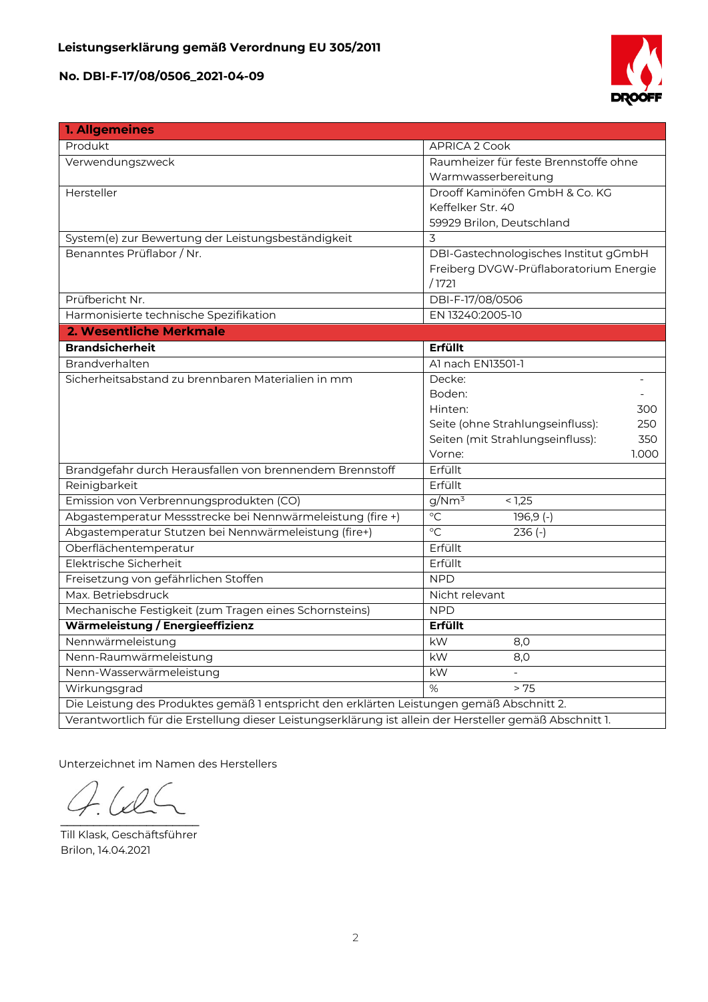

| <b>1. Allgemeines</b>                                                                                    |                                         |  |  |
|----------------------------------------------------------------------------------------------------------|-----------------------------------------|--|--|
| Produkt                                                                                                  | APRICA 2 Cook                           |  |  |
| Verwendungszweck                                                                                         | Raumheizer für feste Brennstoffe ohne   |  |  |
|                                                                                                          | Warmwasserbereitung                     |  |  |
| Hersteller                                                                                               | Drooff Kaminöfen GmbH & Co. KG          |  |  |
|                                                                                                          | Keffelker Str. 40                       |  |  |
|                                                                                                          | 59929 Brilon, Deutschland               |  |  |
| System(e) zur Bewertung der Leistungsbeständigkeit                                                       | 3                                       |  |  |
| Benanntes Prüflabor / Nr.                                                                                | DBI-Gastechnologisches Institut gGmbH   |  |  |
|                                                                                                          | Freiberg DVGW-Prüflaboratorium Energie  |  |  |
|                                                                                                          | /1721                                   |  |  |
| Prüfbericht Nr.                                                                                          | DBI-F-17/08/0506                        |  |  |
| Harmonisierte technische Spezifikation                                                                   | EN 13240:2005-10                        |  |  |
| 2. Wesentliche Merkmale                                                                                  |                                         |  |  |
| <b>Brandsicherheit</b>                                                                                   | Erfüllt                                 |  |  |
| Brandverhalten                                                                                           | Al nach EN13501-1                       |  |  |
| Sicherheitsabstand zu brennbaren Materialien in mm                                                       | Decke:                                  |  |  |
|                                                                                                          | Boden:                                  |  |  |
|                                                                                                          | Hinten:<br>300                          |  |  |
|                                                                                                          | Seite (ohne Strahlungseinfluss):<br>250 |  |  |
|                                                                                                          | Seiten (mit Strahlungseinfluss):<br>350 |  |  |
|                                                                                                          | 1.000<br>Vorne:                         |  |  |
| Brandgefahr durch Herausfallen von brennendem Brennstoff                                                 | Erfüllt                                 |  |  |
| Reinigbarkeit                                                                                            | Erfüllt                                 |  |  |
| Emission von Verbrennungsprodukten (CO)                                                                  | g/Nm <sup>3</sup><br>< 1,25             |  |  |
| Abgastemperatur Messstrecke bei Nennwärmeleistung (fire +)                                               | $\overline{C}$<br>$196,9$ (-)           |  |  |
| Abgastemperatur Stutzen bei Nennwärmeleistung (fire+)                                                    | $\circ$ C<br>$236(-)$                   |  |  |
| Oberflächentemperatur                                                                                    | Erfüllt                                 |  |  |
| Elektrische Sicherheit                                                                                   | Erfüllt                                 |  |  |
| Freisetzung von gefährlichen Stoffen                                                                     | <b>NPD</b>                              |  |  |
| Max. Betriebsdruck                                                                                       | Nicht relevant                          |  |  |
| Mechanische Festigkeit (zum Tragen eines Schornsteins)                                                   | <b>NPD</b>                              |  |  |
| Wärmeleistung / Energieeffizienz                                                                         | Erfüllt                                 |  |  |
| Nennwärmeleistung                                                                                        | kW<br>8,0                               |  |  |
| Nenn-Raumwärmeleistung                                                                                   | kW<br>8.0                               |  |  |
| Nenn-Wasserwärmeleistung                                                                                 | kW                                      |  |  |
| Wirkungsgrad                                                                                             | $\%$<br>> 75                            |  |  |
| Die Leistung des Produktes gemäß 1 entspricht den erklärten Leistungen gemäß Abschnitt 2.                |                                         |  |  |
| Verantwortlich für die Erstellung dieser Leistungserklärung ist allein der Hersteller gemäß Abschnitt 1. |                                         |  |  |

Unterzeichnet im Namen des Herstellers

 $\Omega$  $\overline{\phantom{a}}$ 

Till Klask, Geschäftsführer Brilon, 14.04.2021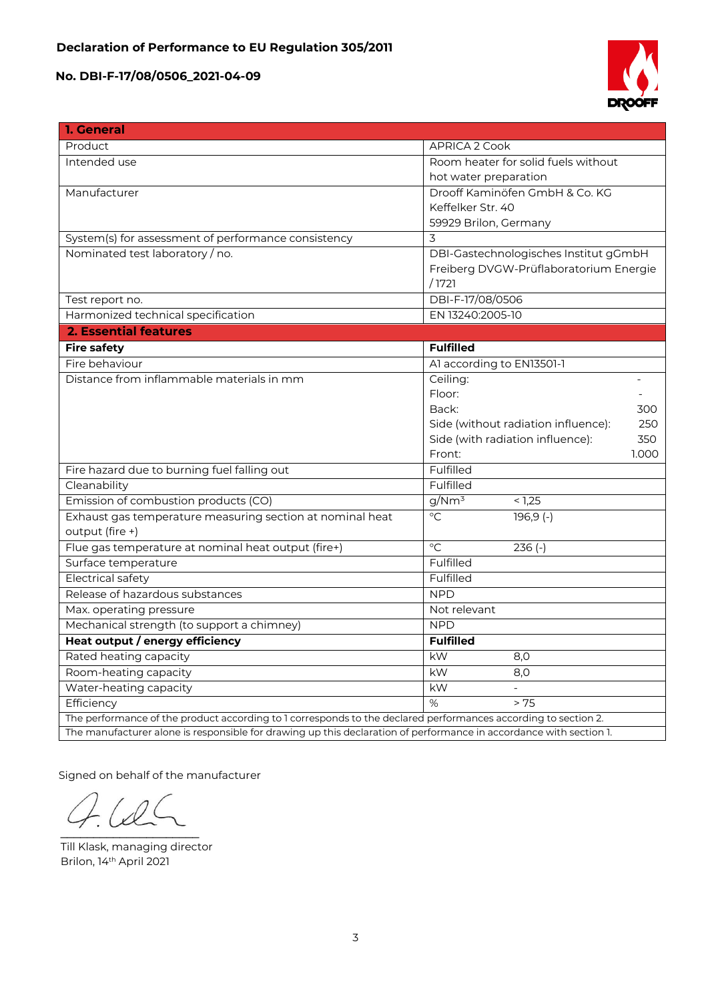

| 1. General                                                                                                         |                                            |  |  |
|--------------------------------------------------------------------------------------------------------------------|--------------------------------------------|--|--|
| Product                                                                                                            | APRICA 2 Cook                              |  |  |
| Intended use                                                                                                       | Room heater for solid fuels without        |  |  |
|                                                                                                                    | hot water preparation                      |  |  |
| Manufacturer                                                                                                       | Drooff Kaminöfen GmbH & Co. KG             |  |  |
|                                                                                                                    | Keffelker Str. 40                          |  |  |
|                                                                                                                    | 59929 Brilon, Germany                      |  |  |
| System(s) for assessment of performance consistency                                                                | 3                                          |  |  |
| Nominated test laboratory / no.                                                                                    | DBI-Gastechnologisches Institut gGmbH      |  |  |
|                                                                                                                    | Freiberg DVGW-Prüflaboratorium Energie     |  |  |
|                                                                                                                    | /1721                                      |  |  |
| Test report no.                                                                                                    | DBI-F-17/08/0506                           |  |  |
| Harmonized technical specification                                                                                 | EN 13240:2005-10                           |  |  |
| <b>2. Essential features</b>                                                                                       |                                            |  |  |
| <b>Fire safety</b>                                                                                                 | <b>Fulfilled</b>                           |  |  |
| Fire behaviour                                                                                                     | Al according to EN13501-1                  |  |  |
| Distance from inflammable materials in mm                                                                          | Ceiling:                                   |  |  |
|                                                                                                                    | Floor:                                     |  |  |
|                                                                                                                    | Back:<br>300                               |  |  |
|                                                                                                                    | Side (without radiation influence):<br>250 |  |  |
|                                                                                                                    | Side (with radiation influence):<br>350    |  |  |
|                                                                                                                    | Front:<br>1.000                            |  |  |
| Fire hazard due to burning fuel falling out                                                                        | Fulfilled                                  |  |  |
| Cleanability                                                                                                       | Fulfilled                                  |  |  |
| Emission of combustion products (CO)                                                                               | g/Nm <sup>3</sup><br>< 1,25                |  |  |
| Exhaust gas temperature measuring section at nominal heat                                                          | $\overline{C}$<br>$196,9(-)$               |  |  |
| output (fire +)                                                                                                    |                                            |  |  |
| Flue gas temperature at nominal heat output (fire+)                                                                | $\overline{C}$<br>$236(-)$                 |  |  |
| Surface temperature                                                                                                | Fulfilled                                  |  |  |
| <b>Electrical safety</b>                                                                                           | Fulfilled                                  |  |  |
| Release of hazardous substances                                                                                    | <b>NPD</b>                                 |  |  |
| Max. operating pressure                                                                                            | Not relevant                               |  |  |
| Mechanical strength (to support a chimney)                                                                         | <b>NPD</b>                                 |  |  |
| Heat output / energy efficiency                                                                                    | <b>Fulfilled</b>                           |  |  |
| Rated heating capacity                                                                                             | kW<br>8,0                                  |  |  |
| Room-heating capacity                                                                                              | kW<br>8,0                                  |  |  |
| Water-heating capacity                                                                                             | kW                                         |  |  |
| Efficiency                                                                                                         | $\%$<br>> 75                               |  |  |
| The performance of the product according to 1 corresponds to the declared performances according to section 2.     |                                            |  |  |
| The manufacturer alone is responsible for drawing up this declaration of performance in accordance with section 1. |                                            |  |  |

Signed on behalf of the manufacturer

 $\mathcal{L}$  and  $\mathcal{L}$  and  $\mathcal{L}$ 

Till Klask, managing director Brilon, 14th April 2021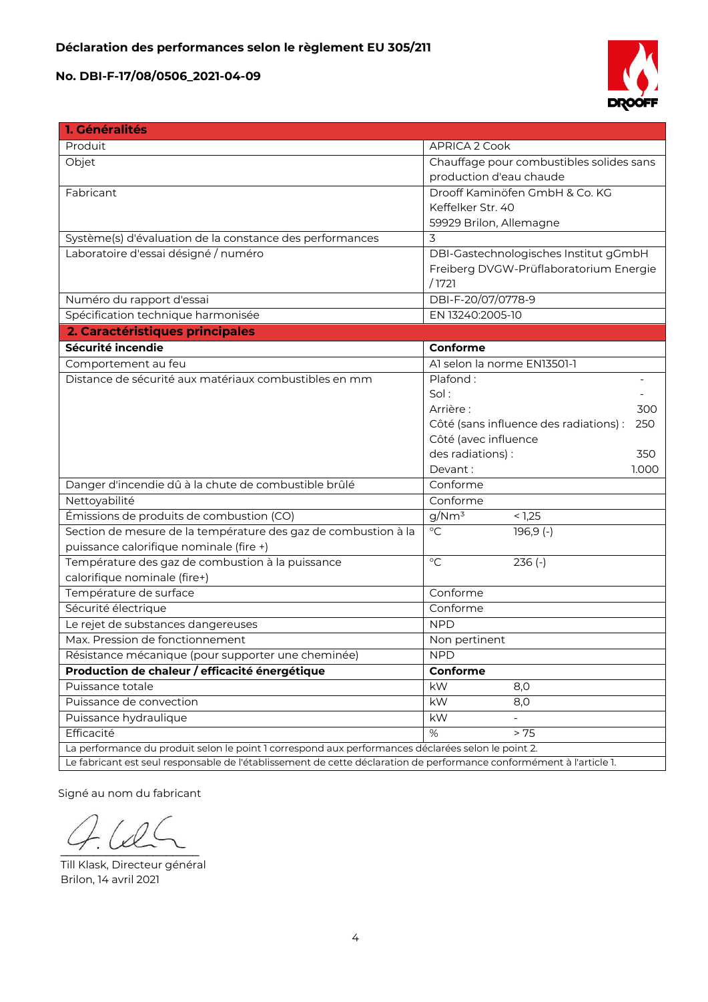

| 1. Généralités                                                                                                       |                                               |  |  |
|----------------------------------------------------------------------------------------------------------------------|-----------------------------------------------|--|--|
| Produit                                                                                                              | APRICA 2 Cook                                 |  |  |
| Objet                                                                                                                | Chauffage pour combustibles solides sans      |  |  |
|                                                                                                                      | production d'eau chaude                       |  |  |
| Fabricant                                                                                                            | Drooff Kaminöfen GmbH & Co. KG                |  |  |
|                                                                                                                      | Keffelker Str. 40                             |  |  |
|                                                                                                                      | 59929 Brilon, Allemagne                       |  |  |
| Système(s) d'évaluation de la constance des performances                                                             | 3                                             |  |  |
| Laboratoire d'essai désigné / numéro                                                                                 | DBI-Gastechnologisches Institut gGmbH         |  |  |
|                                                                                                                      | Freiberg DVGW-Prüflaboratorium Energie        |  |  |
|                                                                                                                      | /1721                                         |  |  |
| Numéro du rapport d'essai                                                                                            | DBI-F-20/07/0778-9                            |  |  |
| Spécification technique harmonisée                                                                                   | EN 13240:2005-10                              |  |  |
| 2. Caractéristiques principales                                                                                      |                                               |  |  |
| Sécurité incendie                                                                                                    | Conforme                                      |  |  |
| Comportement au feu                                                                                                  | Al selon la norme EN13501-1                   |  |  |
| Distance de sécurité aux matériaux combustibles en mm                                                                | Plafond:                                      |  |  |
|                                                                                                                      | Sol:                                          |  |  |
|                                                                                                                      | Arrière:<br>300                               |  |  |
|                                                                                                                      | Côté (sans influence des radiations) :<br>250 |  |  |
|                                                                                                                      | Côté (avec influence                          |  |  |
|                                                                                                                      | des radiations) :<br>350                      |  |  |
|                                                                                                                      | Devant:<br>1.000                              |  |  |
| Danger d'incendie dû à la chute de combustible brûlé                                                                 | Conforme                                      |  |  |
| Nettoyabilité                                                                                                        | Conforme                                      |  |  |
| Émissions de produits de combustion (CO)                                                                             | $g/Nm^3$<br>< 1,25                            |  |  |
| Section de mesure de la température des gaz de combustion à la                                                       | $\overline{C}$<br>$196,9$ (-)                 |  |  |
| puissance calorifique nominale (fire +)                                                                              |                                               |  |  |
| Température des gaz de combustion à la puissance                                                                     | $\rm ^{\circ}C$<br>$236(-)$                   |  |  |
| calorifique nominale (fire+)                                                                                         |                                               |  |  |
| Température de surface                                                                                               | Conforme                                      |  |  |
| Sécurité électrique                                                                                                  | Conforme                                      |  |  |
| Le rejet de substances dangereuses                                                                                   | <b>NPD</b>                                    |  |  |
| Max. Pression de fonctionnement                                                                                      | Non pertinent                                 |  |  |
| Résistance mécanique (pour supporter une cheminée)                                                                   | <b>NPD</b>                                    |  |  |
| Production de chaleur / efficacité énergétique                                                                       | Conforme                                      |  |  |
| Puissance totale                                                                                                     | kW<br>8,0                                     |  |  |
| Puissance de convection                                                                                              | kW<br>8,0                                     |  |  |
| Puissance hydraulique                                                                                                | kW                                            |  |  |
| Efficacité                                                                                                           | %<br>> 75                                     |  |  |
| La performance du produit selon le point 1 correspond aux performances déclarées selon le point 2.                   |                                               |  |  |
| Le fabricant est seul responsable de l'établissement de cette déclaration de performance conformément à l'article 1. |                                               |  |  |

Signé au nom du fabricant

 $\sim$ 

Till Klask, Directeur général Brilon, 14 avril 2021